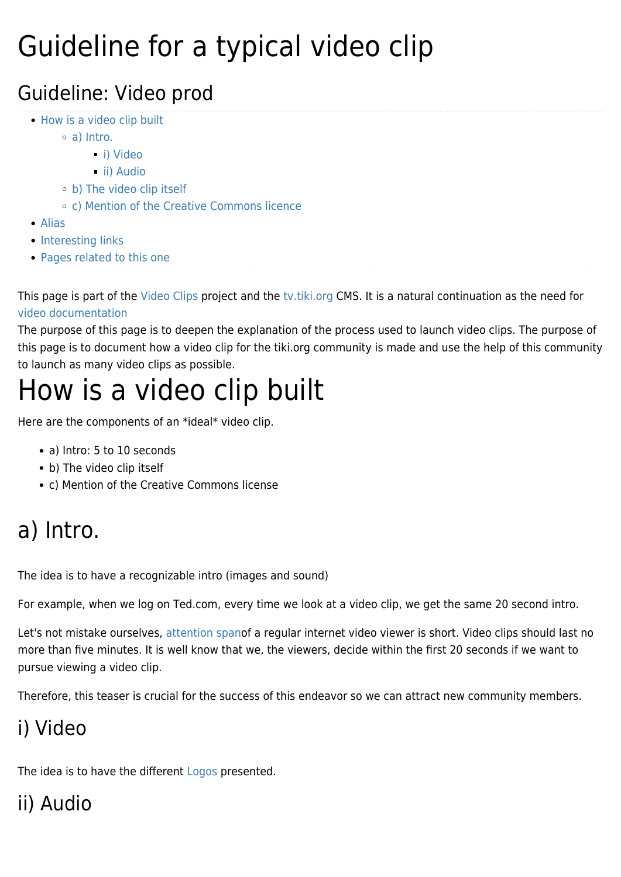# Guideline for a typical video clip

#### Guideline: Video prod

- [How is a video clip built](#page--1-0)
	- [a\) Intro.](#a_Intro.)
		- [i\) Video](#page--1-0)
		- [ii\) Audio](#page--1-0)
	- [b\) The video clip itself](#page--1-0)
	- [c\) Mention of the Creative Commons licence](#page--1-0)
- [Alias](#page--1-0)
- [Interesting links](#page--1-0)
- [Pages related to this one](#page--1-0)

This page is part of the [Video Clips](https://tiki.org/Video-Clips) project and the [tv.tiki.org C](https://tv.tiki.org/HomePage)MS. It is a natural continuation as the need for [video documentation](https://tiki.org/Guideline-for-a-typical-video-clip)

The purpose of this page is to deepen the explanation of the process used to launch video clips. The purpose of this page is to document how a video clip for the tiki.org community is made and use the help of this community to launch as many video clips as possible.

## How is a video clip built

Here are the components of an \*ideal\* video clip.

- a) Intro: 5 to 10 seconds
- b) The video clip itself
- c) Mention of the Creative Commons license

### a) Intro.

The idea is to have a recognizable intro (images and sound)

For example, when we log on Ted.com, every time we look at a video clip, we get the same 20 second intro.

Let's not mistake ourselves, [attention span](http://www.google.com/search?client=gmail&rls=gm&q=video%20clip%20attention%20span%20survey)of a regular internet video viewer is short. Video clips should last no more than five minutes. It is well know that we, the viewers, decide within the first 20 seconds if we want to pursue viewing a video clip.

Therefore, this teaser is crucial for the success of this endeavor so we can attract new community members.

#### i) Video

The idea is to have the different [Logos](http://branding.tiki.org/Logos) presented.

#### ii) Audio